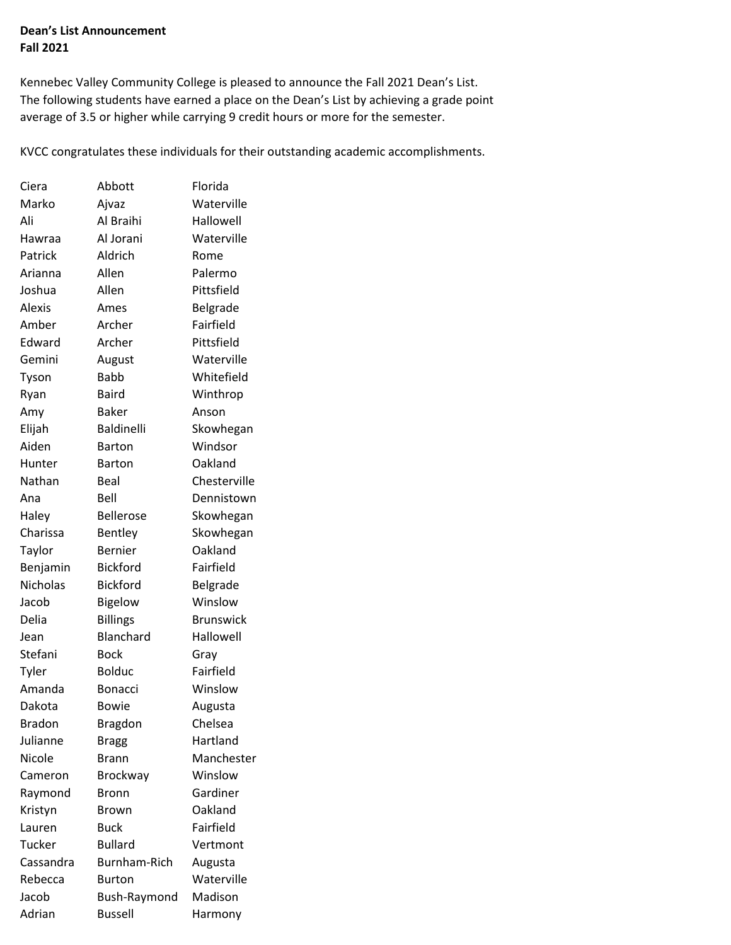## **Dean's List Announcement Fall 2021**

average of 3.5 or higher while carrying 9 credit hours or more for the semester. Kennebec Valley Community College is pleased to announce the Fall 2021 Dean's List. The following students have earned a place on the Dean's List by achieving a grade point

KVCC congratulates these individuals for their outstanding academic accomplishments.

| Ciera         | Abbott              | Florida          |
|---------------|---------------------|------------------|
| Marko         | Ajvaz               | Waterville       |
| Ali           | Al Braihi           | Hallowell        |
| Hawraa        | Al Jorani           | Waterville       |
| Patrick       | Aldrich             | Rome             |
| Arianna       | Allen               | Palermo          |
| Joshua        | Allen               | Pittsfield       |
| Alexis        | Ames                | Belgrade         |
| Amber         | Archer              | Fairfield        |
| Edward        | Archer              | Pittsfield       |
| Gemini        | August              | Waterville       |
| Tyson         | <b>Babb</b>         | Whitefield       |
| Ryan          | <b>Baird</b>        | Winthrop         |
| Amy           | <b>Baker</b>        | Anson            |
| Elijah        | Baldinelli          | Skowhegan        |
| Aiden         | <b>Barton</b>       | Windsor          |
| Hunter        | <b>Barton</b>       | Oakland          |
| Nathan        | Beal                | Chesterville     |
| Ana           | Bell                | Dennistown       |
| Haley         | <b>Bellerose</b>    | Skowhegan        |
| Charissa      | Bentley             | Skowhegan        |
| Taylor        | <b>Bernier</b>      | Oakland          |
| Benjamin      | <b>Bickford</b>     | Fairfield        |
| Nicholas      | <b>Bickford</b>     | Belgrade         |
| Jacob         | <b>Bigelow</b>      | Winslow          |
| Delia         | <b>Billings</b>     | <b>Brunswick</b> |
| Jean          | Blanchard           | Hallowell        |
| Stefani       | <b>Bock</b>         | Gray             |
| Tyler         | <b>Bolduc</b>       | Fairfield        |
| Amanda        | <b>Bonacci</b>      | Winslow          |
| Dakota        | <b>Bowie</b>        | Augusta          |
| <b>Bradon</b> | <b>Bragdon</b>      | Chelsea          |
| Julianne      | Bragg               | Hartland         |
| Nicole        | Brann               | Manchester       |
| Cameron       | <b>Brockway</b>     | Winslow          |
| Raymond       | Bronn               | Gardiner         |
| Kristyn       | Brown               | Oakland          |
| Lauren        | <b>Buck</b>         | Fairfield        |
| Tucker        | <b>Bullard</b>      | Vertmont         |
| Cassandra     | <b>Burnham-Rich</b> | Augusta          |
| Rebecca       | Burton              | Waterville       |
| Jacob         | Bush-Raymond        | Madison          |
| Adrian        | <b>Bussell</b>      | Harmony          |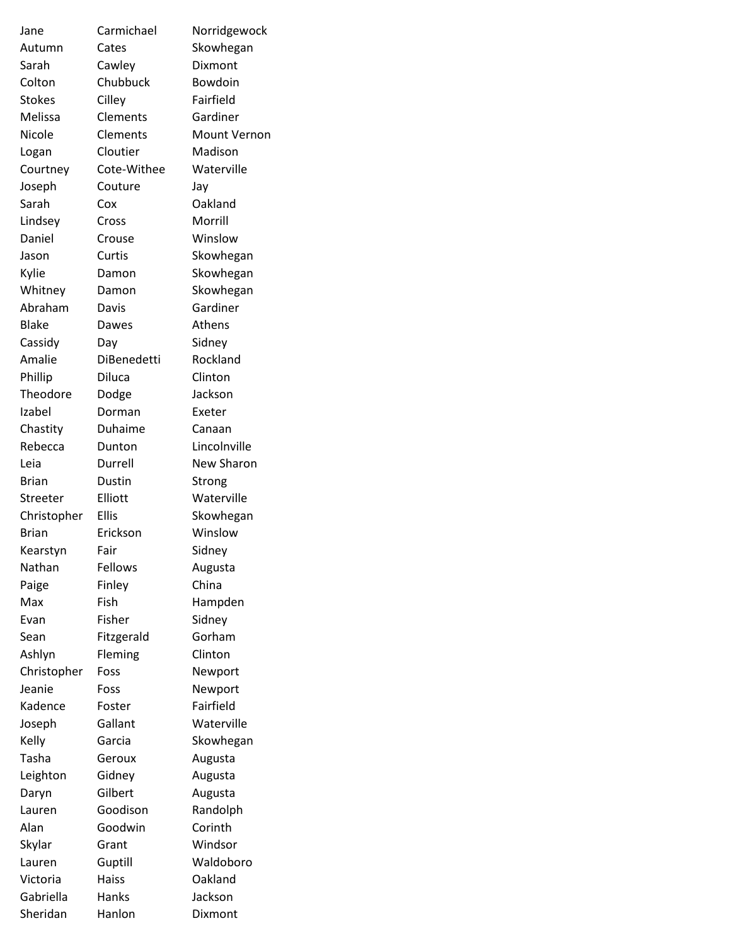| Jane          | Carmichael         | Norridgewock        |
|---------------|--------------------|---------------------|
| Autumn        | Cates              | Skowhegan           |
| Sarah         | Cawley             | Dixmont             |
| Colton        | Chubbuck           | Bowdoin             |
| <b>Stokes</b> | Cilley             | Fairfield           |
| Melissa       | Clements           | Gardiner            |
| Nicole        | Clements           | <b>Mount Vernon</b> |
| Logan         | Cloutier           | Madison             |
| Courtney      | Cote-Withee        | Waterville          |
| Joseph        | Couture            | Jay                 |
| Sarah         | Cox                | Oakland             |
| Lindsey       | Cross              | Morrill             |
| Daniel        | Crouse             | Winslow             |
| Jason         | Curtis             | Skowhegan           |
| Kylie         | Damon              | Skowhegan           |
| Whitney       | Damon              | Skowhegan           |
| Abraham       | Davis              | Gardiner            |
| <b>Blake</b>  | Dawes              | <b>Athens</b>       |
| Cassidy       | Day                | Sidney              |
| Amalie        | <b>DiBenedetti</b> | Rockland            |
| Phillip       | Diluca             | Clinton             |
| Theodore      | Dodge              | Jackson             |
| Izabel        | Dorman             | Exeter              |
| Chastity      | Duhaime            | Canaan              |
| Rebecca       | Dunton             | Lincolnville        |
| Leia          | Durrell            | New Sharon          |
| <b>Brian</b>  | Dustin             | Strong              |
| Streeter      | Elliott            | Waterville          |
| Christopher   | <b>Ellis</b>       | Skowhegan           |
| Brian         | Erickson           | Winslow             |
| Kearstyn      | Fair               | Sidney              |
| Nathan        | Fellows            | Augusta             |
| Paige         | Finley             | China               |
| Max           | Fish               | Hampden             |
| Evan          | Fisher             | Sidney              |
| Sean          | Fitzgerald         | Gorham              |
| Ashlyn        | Fleming            | Clinton             |
| Christopher   | Foss               | Newport             |
| Jeanie        | Foss               | Newport             |
| Kadence       | Foster             | Fairfield           |
| Joseph        | Gallant            | Waterville          |
| Kelly         | Garcia             | Skowhegan           |
| Tasha         | Geroux             | Augusta             |
| Leighton      | Gidney             | Augusta             |
| Daryn         | Gilbert            | Augusta             |
| Lauren        | Goodison           | Randolph            |
| Alan          | Goodwin            | Corinth             |
| Skylar        | Grant              | Windsor             |
| Lauren        | Guptill            | Waldoboro           |
| Victoria      | Haiss              | Oakland             |
| Gabriella     | Hanks              | Jackson             |
| Sheridan      | Hanlon             | Dixmont             |
|               |                    |                     |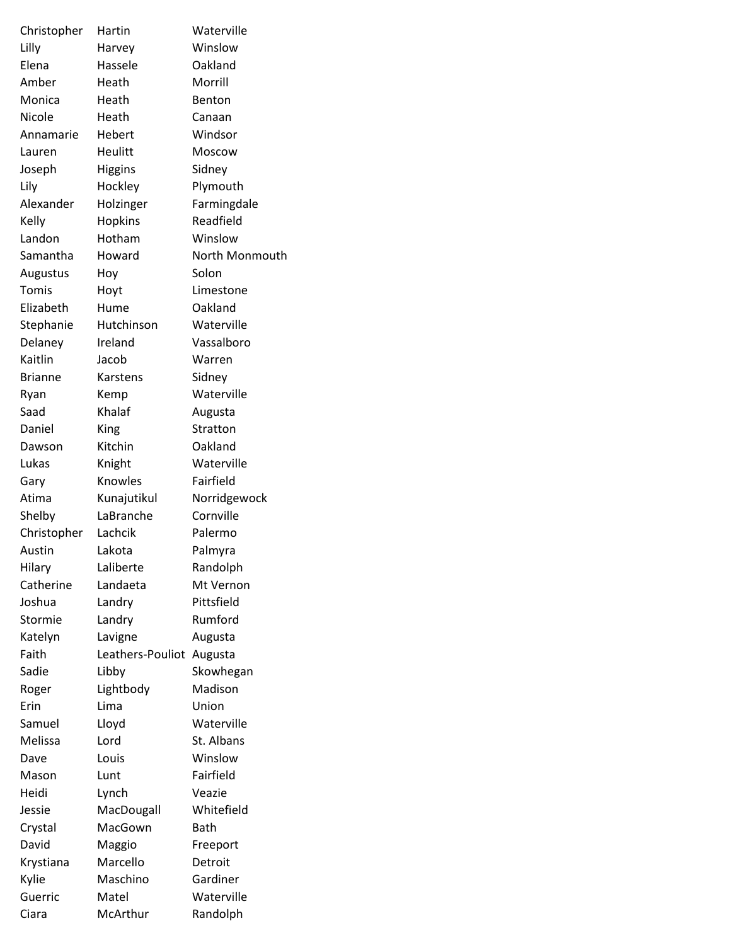| Christopher      | Hartin             | Waterville          |
|------------------|--------------------|---------------------|
| Lilly            | Harvey             | Winslow             |
| Elena            | Hassele            | Oakland             |
| Amber            | Heath              | Morrill             |
| Monica           | Heath              | Benton              |
| Nicole           | Heath              | Canaan              |
| Annamarie        | Hebert             | Windsor             |
| Lauren           | Heulitt            | <b>Moscow</b>       |
| Joseph           | <b>Higgins</b>     | Sidney              |
| Lily             | Hockley            | Plymouth            |
| Alexander        | Holzinger          | Farmingdale         |
| Kelly            | Hopkins            | Readfield           |
| Landon           | Hotham             | Winslow             |
| Samantha         | Howard             | North Monmouth      |
| Augustus         | Hoy                | Solon               |
| Tomis            | Hoyt               | Limestone           |
| Elizabeth        | Hume               | Oakland             |
| Stephanie        | Hutchinson         | Waterville          |
| Delaney          | Ireland            | Vassalboro          |
| Kaitlin          | Jacob              | Warren              |
| <b>Brianne</b>   | Karstens           | Sidney              |
| Ryan             | Kemp               | Waterville          |
| Saad             | Khalaf             | Augusta             |
| Daniel           | King               | Stratton            |
| Dawson           | Kitchin            | Oakland             |
| Lukas            | Knight             | Waterville          |
| Gary             | Knowles            | Fairfield           |
| Atima            | Kunajutikul        | Norridgewock        |
| Shelby           | LaBranche          | Cornville           |
| Christopher      | Lachcik            | Palermo             |
| Austin           | Lakota             | Palmyra             |
| Hilary           | Laliberte          | Randolph            |
| Catherine        | Landaeta           | Mt Vernon           |
| Joshua           | Landry             | Pittsfield          |
| Stormie          | Landry             | Rumford             |
| Katelyn          | Lavigne            | Augusta             |
| Faith            | Leathers-Pouliot   | Augusta             |
| Sadie            | Libby              | Skowhegan           |
| Roger            | Lightbody          | Madison             |
| Erin             | Lima               | Union               |
| Samuel           | Lloyd              | Waterville          |
| Melissa          | Lord               | St. Albans          |
| Dave             | Louis              | Winslow             |
| Mason            | Lunt               | Fairfield           |
| Heidi            | Lynch              | Veazie              |
| Jessie           | MacDougall         | Whitefield          |
|                  | MacGown            | <b>Bath</b>         |
| Crystal<br>David |                    |                     |
|                  | Maggio<br>Marcello | Freeport<br>Detroit |
| Krystiana        | Maschino           | Gardiner            |
| Kylie            |                    |                     |
| Guerric          | Matel              | Waterville          |
| Ciara            | McArthur           | Randolph            |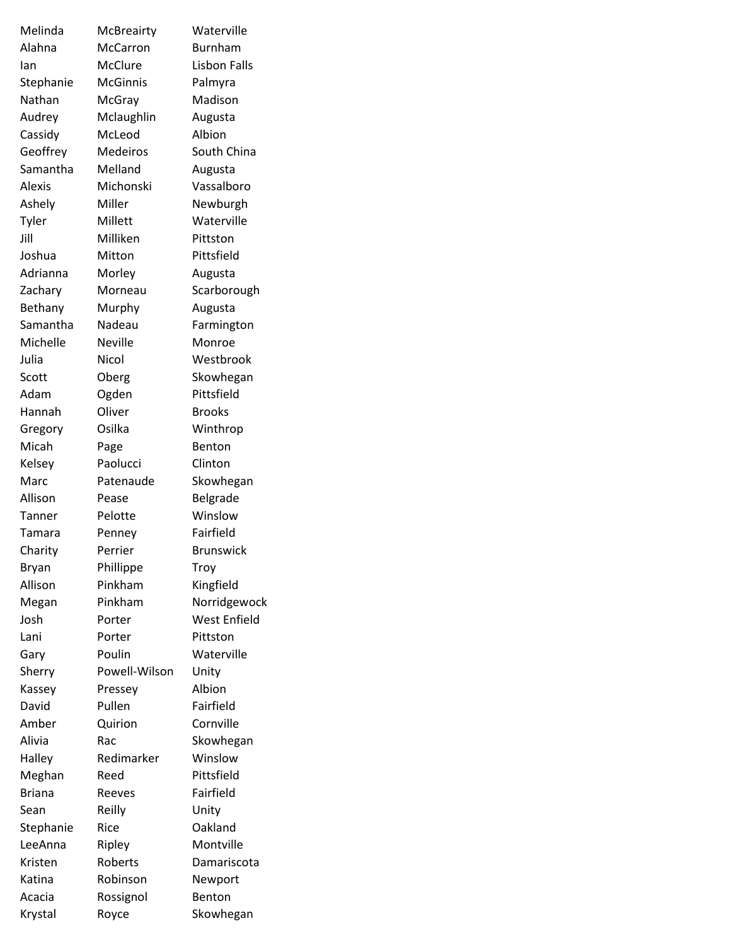| Melinda         | McBreairty        | Waterville           |
|-----------------|-------------------|----------------------|
| Alahna          | McCarron          | Burnham              |
| lan             | McClure           | Lisbon Falls         |
| Stephanie       | <b>McGinnis</b>   | Palmyra              |
| Nathan          | McGray            | Madison              |
| Audrey          | Mclaughlin        | Augusta              |
| Cassidy         | McLeod            | Albion               |
| Geoffrey        | Medeiros          | South China          |
| Samantha        | Melland           | Augusta              |
| Alexis          | Michonski         | Vassalboro           |
| Ashely          | Miller            | Newburgh             |
| Tyler           | Millett           | Waterville           |
| Jill            | Milliken          | Pittston             |
| Joshua          | Mitton            | Pittsfield           |
| Adrianna        | Morley            | Augusta              |
| Zachary         | Morneau           | Scarborough          |
| Bethany         | Murphy            | Augusta              |
| Samantha        | Nadeau            | Farmington           |
| Michelle        | <b>Neville</b>    | Monroe               |
| Julia           | Nicol             | Westbrook            |
| Scott           | Oberg             | Skowhegan            |
| Adam            | Ogden             | Pittsfield           |
| Hannah          | Oliver            | <b>Brooks</b>        |
| Gregory         | Osilka            | Winthrop             |
| Micah           | Page              | Benton               |
| Kelsey          | Paolucci          | Clinton              |
| Marc            | Patenaude         | Skowhegan            |
| Allison         | Pease             | Belgrade             |
| Tanner          | Pelotte           | Winslow              |
| Tamara          | Penney            | Fairfield            |
| Charity         | Perrier           | <b>Brunswick</b>     |
| Bryan           | Phillippe         | Troy                 |
| Allison         | Pinkham           | Kingfield            |
| Megan           | Pinkham           | Norridgewock         |
| Josh            | Porter            | West Enfield         |
| Lani            | Porter            | Pittston             |
| Gary            | Poulin            | Waterville           |
|                 | Powell-Wilson     |                      |
| Sherry          |                   | Unity<br>Albion      |
| Kassey<br>David | Pressey<br>Pullen | Fairfield            |
|                 |                   |                      |
| Amber           | Quirion           | Cornville            |
| Alivia          | Rac               | Skowhegan<br>Winslow |
| Halley          | Redimarker        |                      |
| Meghan          | Reed              | Pittsfield           |
| <b>Briana</b>   | Reeves            | Fairfield            |
| Sean            | Reilly            | Unity                |
| Stephanie       | Rice              | Oakland              |
| LeeAnna         | Ripley            | Montville            |
| Kristen         | Roberts           | Damariscota          |
| Katina          | Robinson          | Newport              |
| Acacia          | Rossignol         | Benton               |
| Krystal         | Royce             | Skowhegan            |
|                 |                   |                      |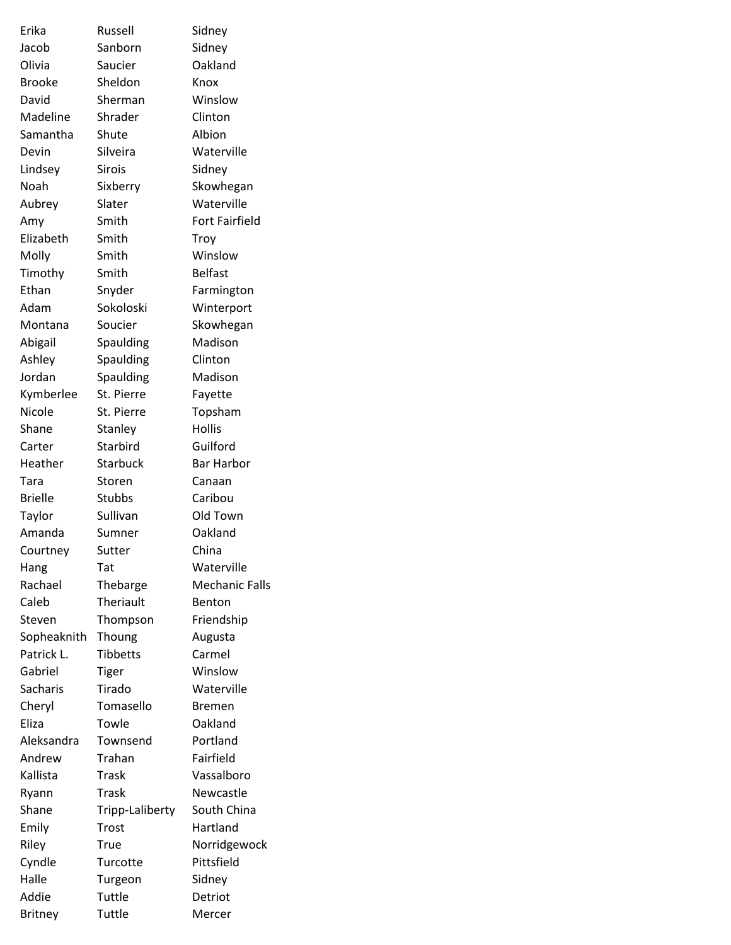| Erika          | Russell         | Sidney                |
|----------------|-----------------|-----------------------|
| Jacob          | Sanborn         | Sidney                |
| Olivia         | Saucier         | Oakland               |
| <b>Brooke</b>  | Sheldon         | Knox                  |
| David          | Sherman         | Winslow               |
| Madeline       | Shrader         | Clinton               |
| Samantha       | Shute           | Albion                |
| Devin          | Silveira        | Waterville            |
| Lindsey        | <b>Sirois</b>   | Sidney                |
| Noah           | Sixberry        | Skowhegan             |
| Aubrey         | Slater          | Waterville            |
| Amy            | Smith           | <b>Fort Fairfield</b> |
| Elizabeth      | Smith           | Troy                  |
| Molly          | Smith           | Winslow               |
| Timothy        | Smith           | <b>Belfast</b>        |
| Ethan          | Snyder          | Farmington            |
| Adam           | Sokoloski       | Winterport            |
| Montana        | Soucier         | Skowhegan             |
| Abigail        | Spaulding       | Madison               |
| Ashley         | Spaulding       | Clinton               |
| Jordan         | Spaulding       | Madison               |
| Kymberlee      | St. Pierre      | Fayette               |
| Nicole         | St. Pierre      | Topsham               |
| Shane          | Stanley         | <b>Hollis</b>         |
| Carter         | Starbird        | Guilford              |
| Heather        | <b>Starbuck</b> | <b>Bar Harbor</b>     |
| Tara           | Storen          | Canaan                |
| <b>Brielle</b> | Stubbs          | Caribou               |
| Taylor         | Sullivan        | Old Town              |
| Amanda         | Sumner          | Oakland               |
| Courtney       | Sutter          | China                 |
| Hang           | Tat             | Waterville            |
| Rachael        | Thebarge        | <b>Mechanic Falls</b> |
| Caleb          | Theriault       | Benton                |
| Steven         | Thompson        | Friendship            |
| Sopheaknith    | Thoung          | Augusta               |
| Patrick L.     | <b>Tibbetts</b> | Carmel                |
| Gabriel        | Tiger           | Winslow               |
| Sacharis       | Tirado          | Waterville            |
| Cheryl         | Tomasello       | <b>Bremen</b>         |
| Eliza          | Towle           | Oakland               |
| Aleksandra     | Townsend        | Portland              |
| Andrew         | Trahan          | Fairfield             |
| Kallista       | Trask           | Vassalboro            |
| Ryann          | <b>Trask</b>    | Newcastle             |
| Shane          | Tripp-Laliberty | South China           |
| Emily          | Trost           | Hartland              |
| Riley          | True            | Norridgewock          |
| Cyndle         | Turcotte        | Pittsfield            |
| Halle          | Turgeon         | Sidney                |
| Addie          | Tuttle          | Detriot               |
| <b>Britney</b> | Tuttle          | Mercer                |